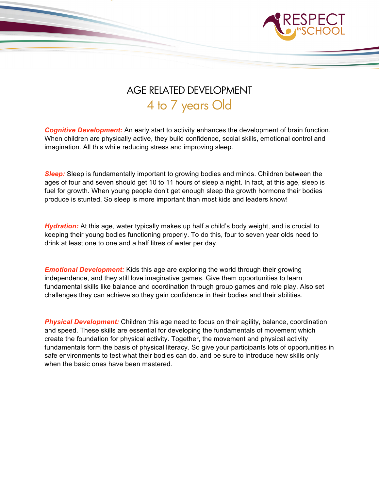

## AGE RELATED DEVELOPMENT 4 to 7 years Old

**Cognitive Development:** An early start to activity enhances the development of brain function. When children are physically active, they build confidence, social skills, emotional control and imagination. All this while reducing stress and improving sleep.

*Sleep:* Sleep is fundamentally important to growing bodies and minds. Children between the ages of four and seven should get 10 to 11 hours of sleep a night. In fact, at this age, sleep is fuel for growth. When young people don't get enough sleep the growth hormone their bodies produce is stunted. So sleep is more important than most kids and leaders know!

*Hydration:* At this age, water typically makes up half a child's body weight, and is crucial to keeping their young bodies functioning properly. To do this, four to seven year olds need to drink at least one to one and a half litres of water per day.

*Emotional Development:* Kids this age are exploring the world through their growing independence, and they still love imaginative games. Give them opportunities to learn fundamental skills like balance and coordination through group games and role play. Also set challenges they can achieve so they gain confidence in their bodies and their abilities.

*Physical Development:* Children this age need to focus on their agility, balance, coordination and speed. These skills are essential for developing the fundamentals of movement which create the foundation for physical activity. Together, the movement and physical activity fundamentals form the basis of physical literacy. So give your participants lots of opportunities in safe environments to test what their bodies can do, and be sure to introduce new skills only when the basic ones have been mastered.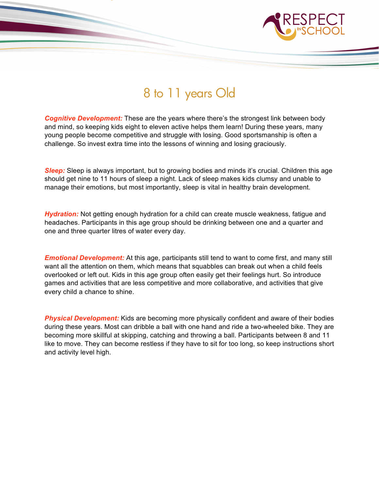

## 8 to 11 years Old

*Cognitive Development:* These are the years where there's the strongest link between body and mind, so keeping kids eight to eleven active helps them learn! During these years, many young people become competitive and struggle with losing. Good sportsmanship is often a challenge. So invest extra time into the lessons of winning and losing graciously.

**Sleep:** Sleep is always important, but to growing bodies and minds it's crucial. Children this age should get nine to 11 hours of sleep a night. Lack of sleep makes kids clumsy and unable to manage their emotions, but most importantly, sleep is vital in healthy brain development.

**Hydration:** Not getting enough hydration for a child can create muscle weakness, fatigue and headaches. Participants in this age group should be drinking between one and a quarter and one and three quarter litres of water every day.

*Emotional Development:* At this age, participants still tend to want to come first, and many still want all the attention on them, which means that squabbles can break out when a child feels overlooked or left out. Kids in this age group often easily get their feelings hurt. So introduce games and activities that are less competitive and more collaborative, and activities that give every child a chance to shine.

*Physical Development:* Kids are becoming more physically confident and aware of their bodies during these years. Most can dribble a ball with one hand and ride a two-wheeled bike. They are becoming more skillful at skipping, catching and throwing a ball. Participants between 8 and 11 like to move. They can become restless if they have to sit for too long, so keep instructions short and activity level high.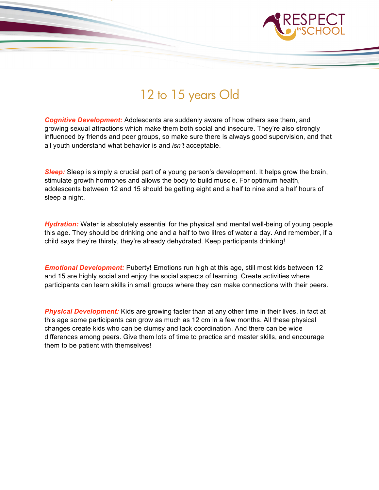

## 12 to 15 years Old

*Cognitive Development:* Adolescents are suddenly aware of how others see them, and growing sexual attractions which make them both social and insecure. They're also strongly influenced by friends and peer groups, so make sure there is always good supervision, and that all youth understand what behavior is and *isn't* acceptable.

*Sleep:* Sleep is simply a crucial part of a young person's development. It helps grow the brain, stimulate growth hormones and allows the body to build muscle. For optimum health, adolescents between 12 and 15 should be getting eight and a half to nine and a half hours of sleep a night.

**Hydration:** Water is absolutely essential for the physical and mental well-being of young people this age. They should be drinking one and a half to two litres of water a day. And remember, if a child says they're thirsty, they're already dehydrated. Keep participants drinking!

*Emotional Development:* Puberty! Emotions run high at this age, still most kids between 12 and 15 are highly social and enjoy the social aspects of learning. Create activities where participants can learn skills in small groups where they can make connections with their peers.

*Physical Development:* Kids are growing faster than at any other time in their lives, in fact at this age some participants can grow as much as 12 cm in a few months. All these physical changes create kids who can be clumsy and lack coordination. And there can be wide differences among peers. Give them lots of time to practice and master skills, and encourage them to be patient with themselves!